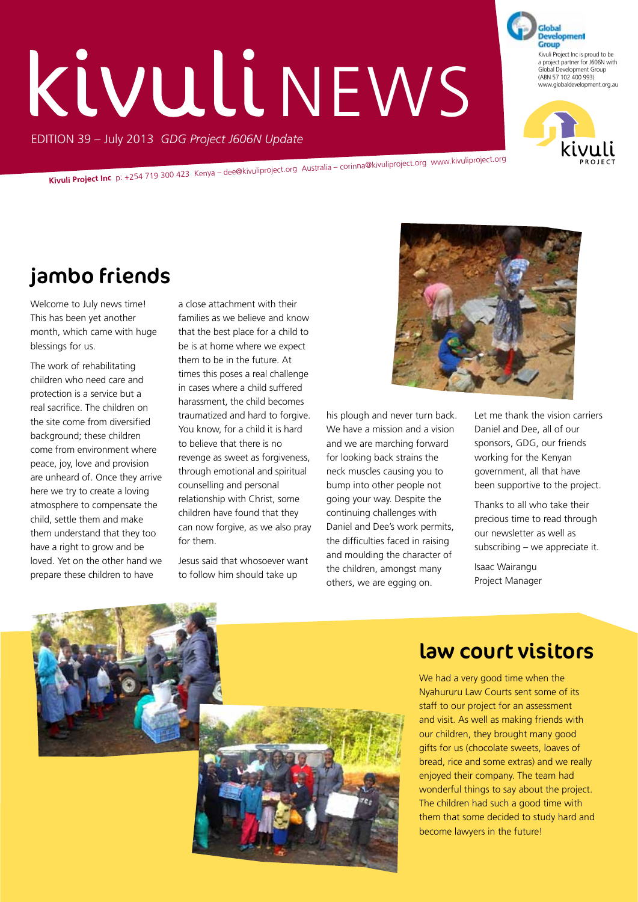# Kivuli NEWS

EDITION 39 – July 2013 *GDG Project J606N Update*

**Kivuli Project Inc** p: +254 719 300 423 Kenya – dee@kivuliproject.org Australia – corinna@kivuliproject.org www.kivuliproject.org

## jambo friends

Welcome to July news time! This has been yet another month, which came with huge blessings for us.

The work of rehabilitating children who need care and protection is a service but a real sacrifice. The children on the site come from diversified background; these children come from environment where peace, joy, love and provision are unheard of. Once they arrive here we try to create a loving atmosphere to compensate the child, settle them and make them understand that they too have a right to grow and be loved. Yet on the other hand we prepare these children to have

a close attachment with their families as we believe and know that the best place for a child to be is at home where we expect them to be in the future. At times this poses a real challenge in cases where a child suffered harassment, the child becomes traumatized and hard to forgive. You know, for a child it is hard to believe that there is no revenge as sweet as forgiveness, through emotional and spiritual counselling and personal relationship with Christ, some children have found that they can now forgive, as we also pray for them.

Jesus said that whosoever want to follow him should take up



his plough and never turn back. We have a mission and a vision and we are marching forward for looking back strains the neck muscles causing you to bump into other people not going your way. Despite the continuing challenges with Daniel and Dee's work permits, the difficulties faced in raising and moulding the character of the children, amongst many others, we are egging on.

Let me thank the vision carriers Daniel and Dee, all of our sponsors, GDG, our friends working for the Kenyan government, all that have been supportive to the project.

Thanks to all who take their precious time to read through our newsletter as well as subscribing – we appreciate it.

Isaac Wairangu Project Manager



#### law court visitors

We had a very good time when the Nyahururu Law Courts sent some of its staff to our project for an assessment and visit. As well as making friends with our children, they brought many good gifts for us (chocolate sweets, loaves of bread, rice and some extras) and we really enjoyed their company. The team had wonderful things to say about the project. The children had such a good time with them that some decided to study hard and become lawyers in the future!



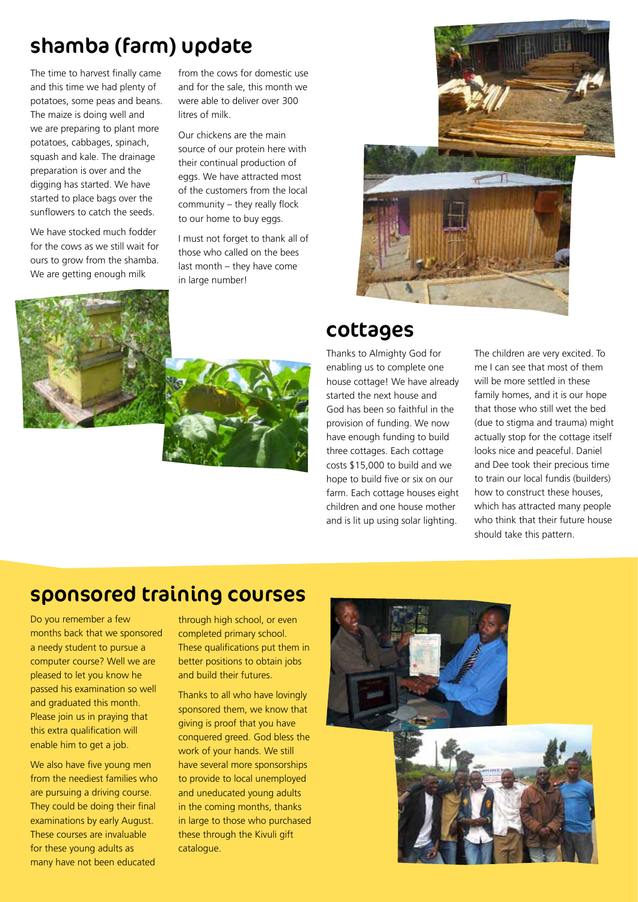## shamba (farm) update

The time to harvest finally came and this time we had plenty of potatoes, some peas and beans. The maize is doing well and we are preparing to plant more potatoes, cabbages, spinach, squash and kale. The drainage preparation is over and the digging has started. We have started to place bags over the sunflowers to catch the seeds.

We have stocked much fodder for the cows as we still wait for ours to grow from the shamba. We are getting enough milk

from the cows for domestic use and for the sale, this month we were able to deliver over 300 litres of milk.

Our chickens are the main source of our protein here with their continual production of eggs. We have attracted most of the customers from the local community – they really flock to our home to buy eggs.

I must not forget to thank all of those who called on the bees last month – they have come in large number!



#### cottages

Thanks to Almighty God for enabling us to complete one house cottage! We have already started the next house and God has been so faithful in the provision of funding. We now have enough funding to build three cottages. Each cottage costs \$15,000 to build and we hope to build five or six on our farm. Each cottage houses eight children and one house mother and is lit up using solar lighting.

The children are very excited. To me I can see that most of them will be more settled in these family homes, and it is our hope that those who still wet the bed (due to stigma and trauma) might actually stop for the cottage itself looks nice and peaceful. Daniel and Dee took their precious time to train our local fundis (builders) how to construct these houses, which has attracted many people who think that their future house should take this pattern.

# sponsored training courses

Do you remember a few months back that we sponsored a needy student to pursue a computer course? Well we are pleased to let you know he passed his examination so well and graduated this month. Please join us in praying that this extra qualification will enable him to get a job.

We also have five young men from the neediest families who are pursuing a driving course. They could be doing their final examinations by early August. These courses are invaluable for these young adults as many have not been educated

through high school, or even completed primary school. These qualifications put them in better positions to obtain jobs and build their futures.

Thanks to all who have lovingly sponsored them, we know that giving is proof that you have conquered greed. God bless the work of your hands. We still have several more sponsorships to provide to local unemployed and uneducated young adults in the coming months, thanks in large to those who purchased these through the Kivuli gift catalogue.